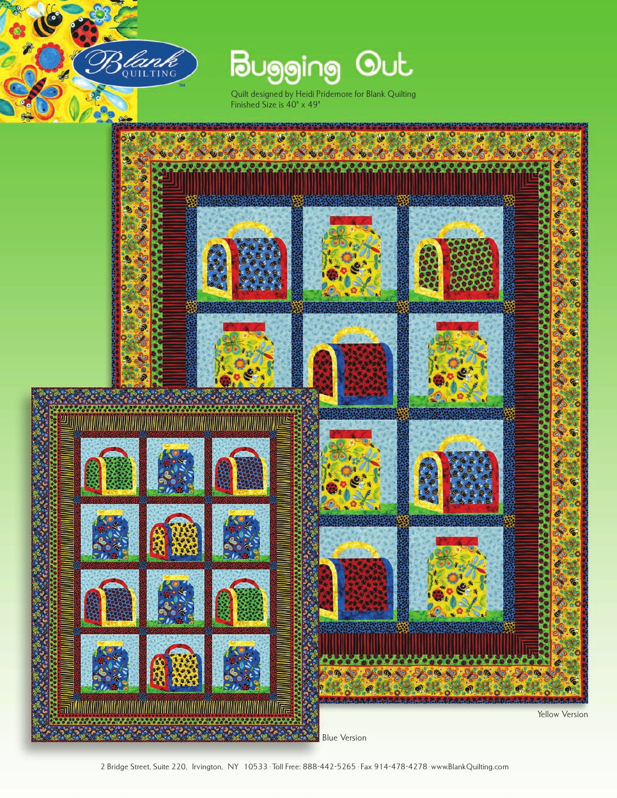

**Bugging Out** 

Quilt designed by Heidi Pridemore for Blank Quilting Finished Size is 40" x 49"

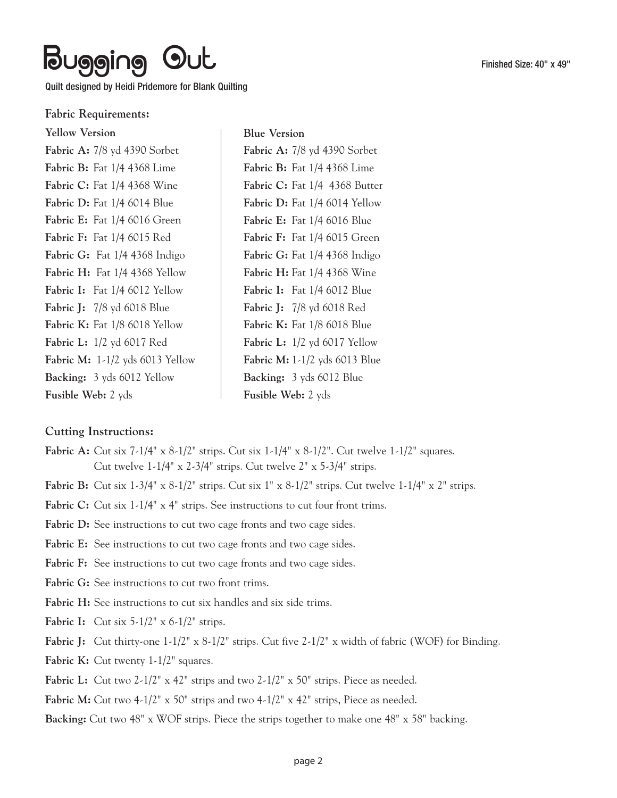#### **Fabric Requirements:**

| <b>Yellow Version</b>                    |
|------------------------------------------|
| Fabric A: 7/8 yd 4390 Sorbet             |
| <b>Fabric B:</b> Fat 1/4 4368 Lime       |
| <b>Fabric C:</b> Fat 1/4 4368 Wine       |
| <b>Fabric D:</b> Fat 1/4 6014 Blue       |
| Fabric E: Fat 1/4 6016 Green             |
| <b>Fabric F:</b> Fat 1/4 6015 Red        |
| Fabric G: Fat 1/4 4368 Indigo            |
| Fabric H: Fat 1/4 4368 Yellow            |
| <b>Fabric I:</b> Fat $1/4$ 6012 Yellow   |
| <b>Fabric J:</b> 7/8 yd 6018 Blue        |
| <b>Fabric K:</b> Fat 1/8 6018 Yellow     |
| <b>Fabric L:</b> 1/2 yd 6017 Red         |
| <b>Fabric M:</b> $1-1/2$ yds 6013 Yellow |
| <b>Backing:</b> 3 yds 6012 Yellow        |
| <b>Fusible Web:</b> 2 yds                |

**Blue Version Fabric A:** 7/8 yd 4390 Sorbet **Fabric B:** Fat 1/4 4368 Lime **Fabric C:** Fat 1/4 4368 Butter **Fabric D:** Fat 1/4 6014 Yellow **Fabric E:** Fat 1/4 6016 Blue **Fabric F:** Fat 1/4 6015 Green **Fabric G:** Fat 1/4 4368 Indigo **Fabric H:** Fat 1/4 4368 Wine **Fabric I:** Fat 1/4 6012 Blue **Fabric J:** 7/8 yd 6018 Red **Fabric K:** Fat 1/8 6018 Blue **Fabric L:** 1/2 yd 6017 Yellow **Fabric M:** 1-1/2 yds 6013 Blue **Backing:** 3 yds 6012 Blue **Fusible Web:** 2 yds

### **Cutting Instructions:**

- **Fabric A:** Cut six 7-1/4" x 8-1/2" strips. Cut six 1-1/4" x 8-1/2". Cut twelve 1-1/2" squares. Cut twelve 1-1/4" x 2-3/4" strips. Cut twelve 2" x 5-3/4" strips.
- **Fabric B:** Cut six 1-3/4" x 8-1/2" strips. Cut six 1" x 8-1/2" strips. Cut twelve 1-1/4" x 2" strips.
- Fabric C: Cut six  $1-1/4$ <sup>"</sup> x 4<sup>"</sup> strips. See instructions to cut four front trims.
- Fabric D: See instructions to cut two cage fronts and two cage sides.
- Fabric E: See instructions to cut two cage fronts and two cage sides.
- Fabric F: See instructions to cut two cage fronts and two cage sides.
- Fabric G: See instructions to cut two front trims.
- Fabric H: See instructions to cut six handles and six side trims.
- **Fabric I:** Cut six 5-1/2" x 6-1/2" strips.
- **Fabric J:** Cut thirty-one  $1-1/2$ " x  $8-1/2$ " strips. Cut five  $2-1/2$ " x width of fabric (WOF) for Binding.
- **Fabric K:** Cut twenty 1-1/2" squares.
- Fabric L: Cut two 2-1/2" x 42" strips and two 2-1/2" x 50" strips. Piece as needed.
- Fabric M: Cut two 4-1/2" x 50" strips and two 4-1/2" x 42" strips, Piece as needed.
- **Backing:** Cut two 48" x WOF strips. Piece the strips together to make one 48" x 58" backing.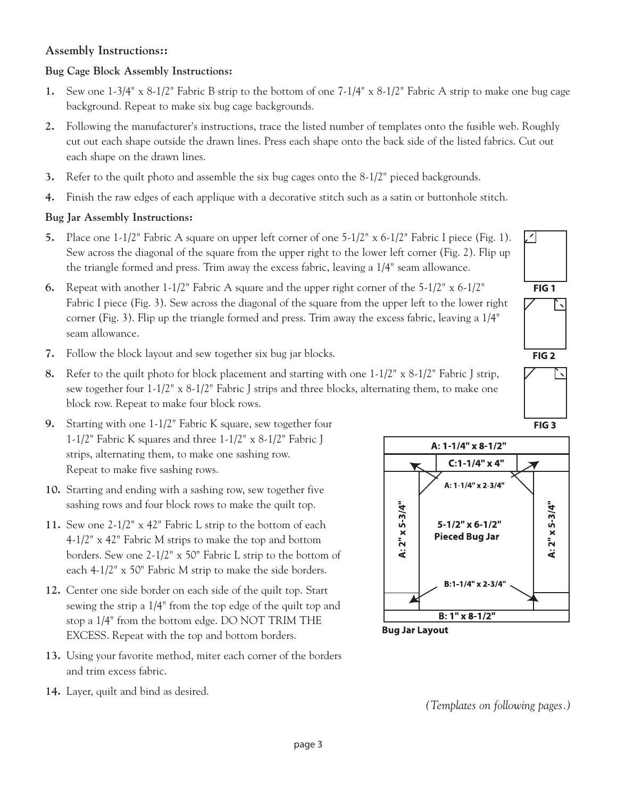### **Assembly Instructions::**

# **Bug Cage Block Assembly Instructions:**

- **1.** Sew one 1-3/4" x 8-1/2" Fabric B strip to the bottom of one 7-1/4" x 8-1/2" Fabric A strip to make one bug cage background. Repeat to make six bug cage backgrounds.
- **2.** Following the manufacturer's instructions, trace the listed number of templates onto the fusible web. Roughly cut out each shape outside the drawn lines. Press each shape onto the back side of the listed fabrics. Cut out each shape on the drawn lines.
- **3.** Refer to the quilt photo and assemble the six bug cages onto the 8-1/2" pieced backgrounds.
- **4.** Finish the raw edges of each applique with a decorative stitch such as a satin or buttonhole stitch.

# **Bug Jar Assembly Instructions:**

- **5.** Place one 1-1/2" Fabric A square on upper left corner of one 5-1/2" x 6-1/2" Fabric I piece (Fig. 1). Sew across the diagonal of the square from the upper right to the lower left corner (Fig. 2). Flip up the triangle formed and press. Trim away the excess fabric, leaving a 1/4" seam allowance.
- **6.** Repeat with another 1-1/2" Fabric A square and the upper right corner of the 5-1/2" x 6-1/2" Fabric I piece (Fig. 3). Sew across the diagonal of the square from the upper left to the lower right corner (Fig. 3). Flip up the triangle formed and press. Trim away the excess fabric, leaving a 1/4" seam allowance.
- **7.** Follow the block layout and sew together six bug jar blocks.
- **8.** Refer to the quilt photo for block placement and starting with one 1-1/2" x 8-1/2" Fabric J strip, sew together four  $1-1/2$ " x  $8-1/2$ " Fabric J strips and three blocks, alternating them, to make one block row. Repeat to make four block rows.
- **9.** Starting with one 1-1/2" Fabric K square, sew together four 1-1/2" Fabric K squares and three 1-1/2" x 8-1/2" Fabric J strips, alternating them, to make one sashing row. Repeat to make five sashing rows.
- **10.** Starting and ending with a sashing row, sew together five sashing rows and four block rows to make the quilt top.
- **11.** Sew one 2-1/2" x 42" Fabric L strip to the bottom of each 4-1/2" x 42" Fabric M strips to make the top and bottom borders. Sew one 2-1/2" x 50" Fabric L strip to the bottom of each 4-1/2" x 50" Fabric M strip to make the side borders.
- **12.** Center one side border on each side of the quilt top. Start sewing the strip a 1/4" from the top edge of the quilt top and stop a 1/4" from the bottom edge. DO NOT TRIM THE EXCESS. Repeat with the top and bottom borders.
- **13.** Using your favorite method, miter each corner of the borders and trim excess fabric.
- **14.** Layer, quilt and bind as desired.



FIG<sub>1</sub>

 $FIG 2$ 

FIG<sub>3</sub>

**Bug Jar Layout** 

*(Templates on following pages.)*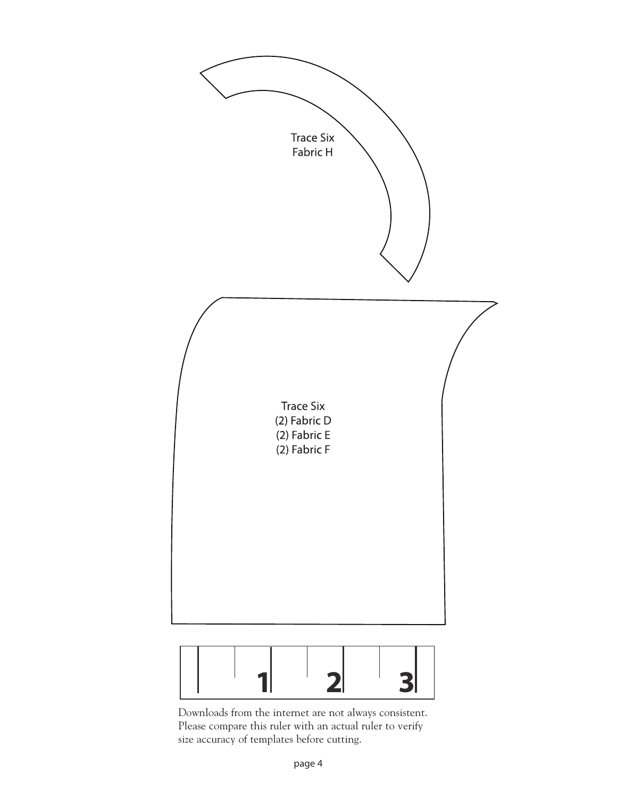

3

Downloads from the internet are not always consistent. Please compare this ruler with an actual ruler to verify size accuracy of templates before cutting.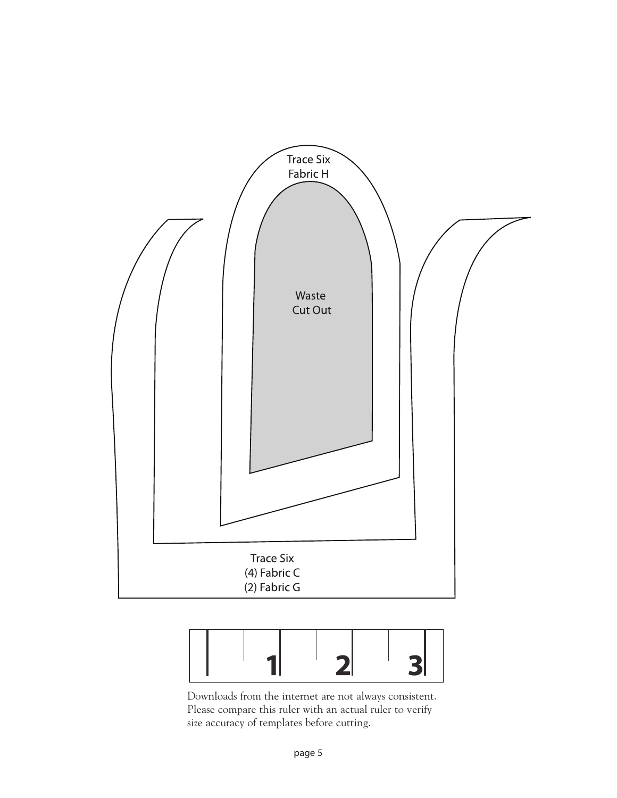



Downloads from the internet are not always consistent. Please compare this ruler with an actual ruler to verify size accuracy of templates before cutting.